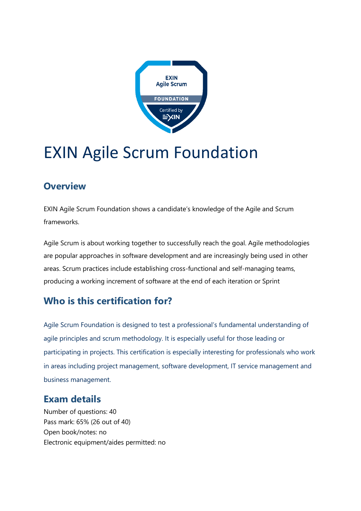

# EXIN Agile Scrum Foundation

#### **Overview**

EXIN Agile Scrum Foundation shows a candidate's knowledge of the Agile and Scrum frameworks.

Agile Scrum is about working together to successfully reach the goal. Agile methodologies are popular approaches in software development and are increasingly being used in other areas. Scrum practices include establishing cross-functional and self-managing teams, producing a working increment of software at the end of each iteration or Sprint

### **Who is this certification for?**

Agile Scrum Foundation is designed to test a professional's fundamental understanding of agile principles and scrum methodology. It is especially useful for those leading or participating in projects. This certification is especially interesting for professionals who work in areas including project management, software development, IT service management and business management.

#### **Exam details**

Number of questions: 40 Pass mark: 65% (26 out of 40) Open book/notes: no Electronic equipment/aides permitted: no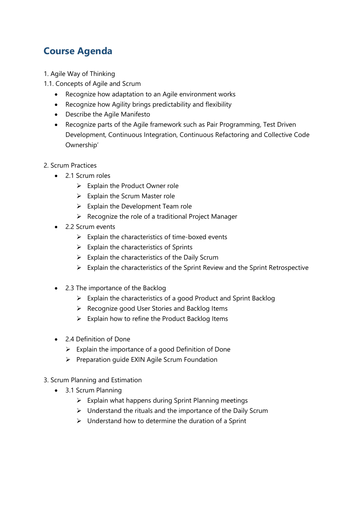## **Course Agenda**

- 1. Agile Way of Thinking
- 1.1. Concepts of Agile and Scrum
	- Recognize how adaptation to an Agile environment works
	- Recognize how Agility brings predictability and flexibility
	- Describe the Agile Manifesto
	- Recognize parts of the Agile framework such as Pair Programming, Test Driven Development, Continuous Integration, Continuous Refactoring and Collective Code Ownership'
- 2. Scrum Practices
	- 2.1 Scrum roles
		- $\triangleright$  Explain the Product Owner role
		- $\triangleright$  Explain the Scrum Master role
		- $\triangleright$  Explain the Development Team role
		- ➢ Recognize the role of a traditional Project Manager
	- 2.2 Scrum events
		- $\triangleright$  Explain the characteristics of time-boxed events
		- $\triangleright$  Explain the characteristics of Sprints
		- $\triangleright$  Explain the characteristics of the Daily Scrum
		- ➢ Explain the characteristics of the Sprint Review and the Sprint Retrospective
	- 2.3 The importance of the Backlog
		- $\triangleright$  Explain the characteristics of a good Product and Sprint Backlog
		- ➢ Recognize good User Stories and Backlog Items
		- $\triangleright$  Explain how to refine the Product Backlog Items
	- 2.4 Definition of Done
		- $\triangleright$  Explain the importance of a good Definition of Done
		- ➢ Preparation guide EXIN Agile Scrum Foundation
- 3. Scrum Planning and Estimation
	- 3.1 Scrum Planning
		- $\triangleright$  Explain what happens during Sprint Planning meetings
		- ➢ Understand the rituals and the importance of the Daily Scrum
		- $\triangleright$  Understand how to determine the duration of a Sprint